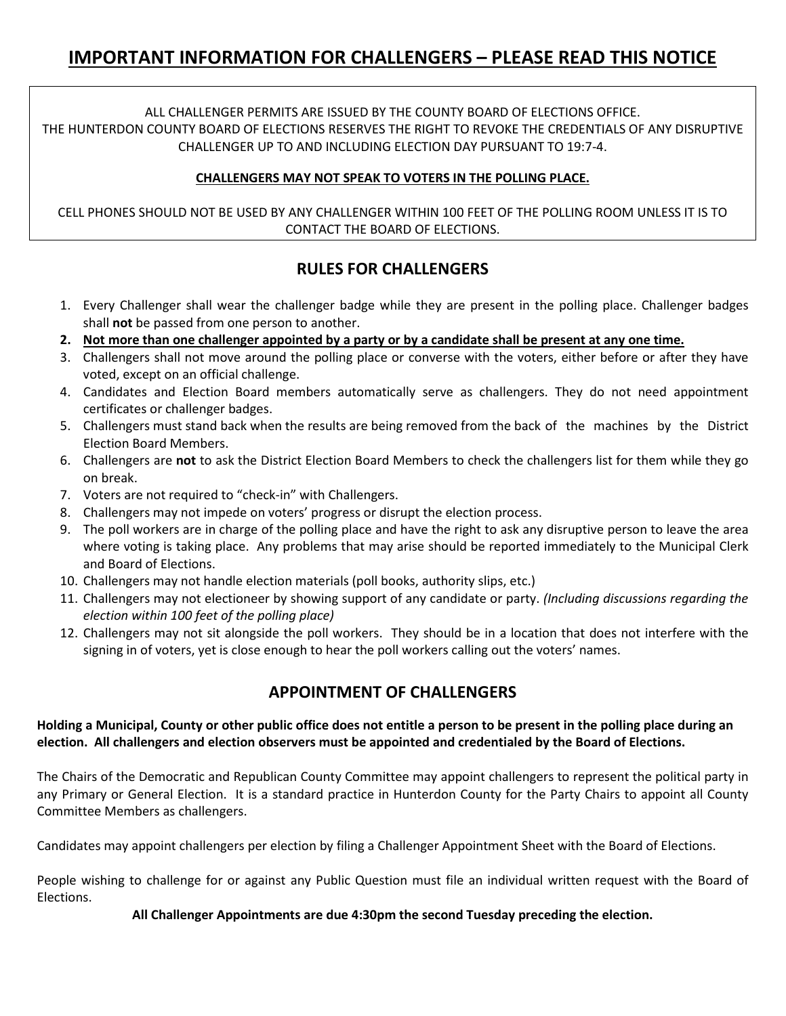### ALL CHALLENGER PERMITS ARE ISSUED BY THE COUNTY BOARD OF ELECTIONS OFFICE. THE HUNTERDON COUNTY BOARD OF ELECTIONS RESERVES THE RIGHT TO REVOKE THE CREDENTIALS OF ANY DISRUPTIVE CHALLENGER UP TO AND INCLUDING ELECTION DAY PURSUANT TO 19:7-4.

### **CHALLENGERS MAY NOT SPEAK TO VOTERS IN THE POLLING PLACE.**

CELL PHONES SHOULD NOT BE USED BY ANY CHALLENGER WITHIN 100 FEET OF THE POLLING ROOM UNLESS IT IS TO CONTACT THE BOARD OF ELECTIONS.

# **RULES FOR CHALLENGERS**

- 1. Every Challenger shall wear the challenger badge while they are present in the polling place. Challenger badges shall **not** be passed from one person to another.
- **2. Not more than one challenger appointed by a party or by a candidate shall be present at any one time.**
- 3. Challengers shall not move around the polling place or converse with the voters, either before or after they have voted, except on an official challenge.
- 4. Candidates and Election Board members automatically serve as challengers. They do not need appointment certificates or challenger badges.
- 5. Challengers must stand back when the results are being removed from the back of the machines by the District Election Board Members.
- 6. Challengers are **not** to ask the District Election Board Members to check the challengers list for them while they go on break.
- 7. Voters are not required to "check-in" with Challengers.
- 8. Challengers may not impede on voters' progress or disrupt the election process.
- 9. The poll workers are in charge of the polling place and have the right to ask any disruptive person to leave the area where voting is taking place. Any problems that may arise should be reported immediately to the Municipal Clerk and Board of Elections.
- 10. Challengers may not handle election materials (poll books, authority slips, etc.)
- 11. Challengers may not electioneer by showing support of any candidate or party. *(Including discussions regarding the election within 100 feet of the polling place)*
- 12. Challengers may not sit alongside the poll workers. They should be in a location that does not interfere with the signing in of voters, yet is close enough to hear the poll workers calling out the voters' names.

# **APPOINTMENT OF CHALLENGERS**

#### **Holding a Municipal, County or other public office does not entitle a person to be present in the polling place during an election. All challengers and election observers must be appointed and credentialed by the Board of Elections.**

The Chairs of the Democratic and Republican County Committee may appoint challengers to represent the political party in any Primary or General Election. It is a standard practice in Hunterdon County for the Party Chairs to appoint all County Committee Members as challengers.

Candidates may appoint challengers per election by filing a Challenger Appointment Sheet with the Board of Elections.

People wishing to challenge for or against any Public Question must file an individual written request with the Board of Elections.

### **All Challenger Appointments are due 4:30pm the second Tuesday preceding the election.**